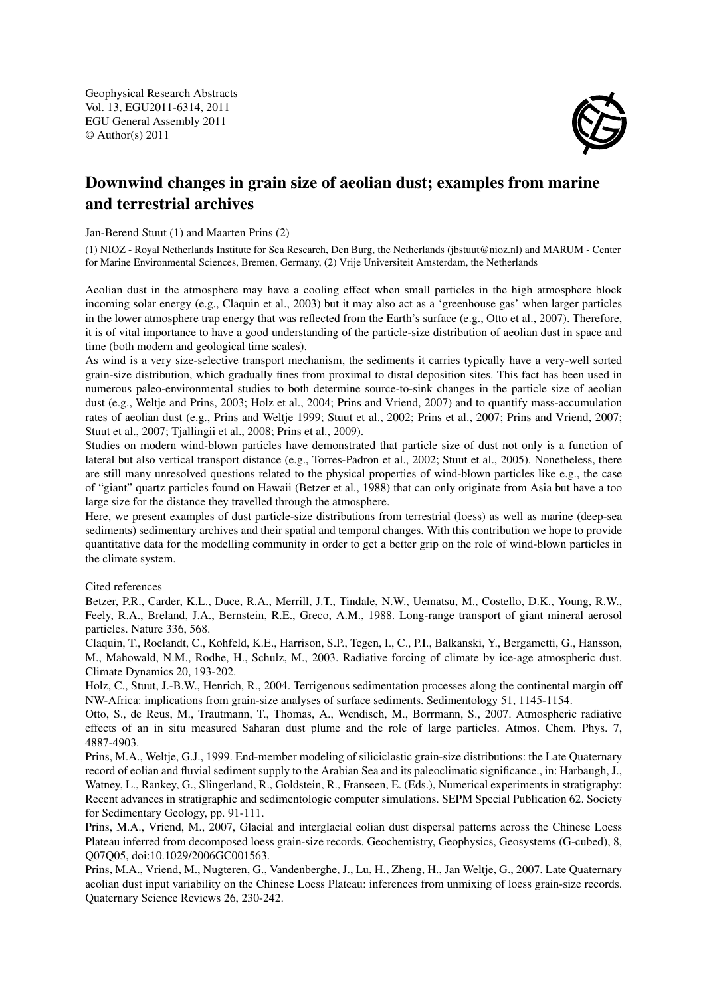Geophysical Research Abstracts Vol. 13, EGU2011-6314, 2011 EGU General Assembly 2011 © Author(s) 2011



## Downwind changes in grain size of aeolian dust; examples from marine and terrestrial archives

Jan-Berend Stuut (1) and Maarten Prins (2)

(1) NIOZ - Royal Netherlands Institute for Sea Research, Den Burg, the Netherlands (jbstuut@nioz.nl) and MARUM - Center for Marine Environmental Sciences, Bremen, Germany, (2) Vrije Universiteit Amsterdam, the Netherlands

Aeolian dust in the atmosphere may have a cooling effect when small particles in the high atmosphere block incoming solar energy (e.g., Claquin et al., 2003) but it may also act as a 'greenhouse gas' when larger particles in the lower atmosphere trap energy that was reflected from the Earth's surface (e.g., Otto et al., 2007). Therefore, it is of vital importance to have a good understanding of the particle-size distribution of aeolian dust in space and time (both modern and geological time scales).

As wind is a very size-selective transport mechanism, the sediments it carries typically have a very-well sorted grain-size distribution, which gradually fines from proximal to distal deposition sites. This fact has been used in numerous paleo-environmental studies to both determine source-to-sink changes in the particle size of aeolian dust (e.g., Weltje and Prins, 2003; Holz et al., 2004; Prins and Vriend, 2007) and to quantify mass-accumulation rates of aeolian dust (e.g., Prins and Weltje 1999; Stuut et al., 2002; Prins et al., 2007; Prins and Vriend, 2007; Stuut et al., 2007; Tjallingii et al., 2008; Prins et al., 2009).

Studies on modern wind-blown particles have demonstrated that particle size of dust not only is a function of lateral but also vertical transport distance (e.g., Torres-Padron et al., 2002; Stuut et al., 2005). Nonetheless, there are still many unresolved questions related to the physical properties of wind-blown particles like e.g., the case of "giant" quartz particles found on Hawaii (Betzer et al., 1988) that can only originate from Asia but have a too large size for the distance they travelled through the atmosphere.

Here, we present examples of dust particle-size distributions from terrestrial (loess) as well as marine (deep-sea sediments) sedimentary archives and their spatial and temporal changes. With this contribution we hope to provide quantitative data for the modelling community in order to get a better grip on the role of wind-blown particles in the climate system.

## Cited references

Betzer, P.R., Carder, K.L., Duce, R.A., Merrill, J.T., Tindale, N.W., Uematsu, M., Costello, D.K., Young, R.W., Feely, R.A., Breland, J.A., Bernstein, R.E., Greco, A.M., 1988. Long-range transport of giant mineral aerosol particles. Nature 336, 568.

Claquin, T., Roelandt, C., Kohfeld, K.E., Harrison, S.P., Tegen, I., C., P.I., Balkanski, Y., Bergametti, G., Hansson, M., Mahowald, N.M., Rodhe, H., Schulz, M., 2003. Radiative forcing of climate by ice-age atmospheric dust. Climate Dynamics 20, 193-202.

Holz, C., Stuut, J.-B.W., Henrich, R., 2004. Terrigenous sedimentation processes along the continental margin off NW-Africa: implications from grain-size analyses of surface sediments. Sedimentology 51, 1145-1154.

Otto, S., de Reus, M., Trautmann, T., Thomas, A., Wendisch, M., Borrmann, S., 2007. Atmospheric radiative effects of an in situ measured Saharan dust plume and the role of large particles. Atmos. Chem. Phys. 7, 4887-4903.

Prins, M.A., Weltje, G.J., 1999. End-member modeling of siliciclastic grain-size distributions: the Late Quaternary record of eolian and fluvial sediment supply to the Arabian Sea and its paleoclimatic significance., in: Harbaugh, J., Watney, L., Rankey, G., Slingerland, R., Goldstein, R., Franseen, E. (Eds.), Numerical experiments in stratigraphy: Recent advances in stratigraphic and sedimentologic computer simulations. SEPM Special Publication 62. Society for Sedimentary Geology, pp. 91-111.

Prins, M.A., Vriend, M., 2007, Glacial and interglacial eolian dust dispersal patterns across the Chinese Loess Plateau inferred from decomposed loess grain-size records. Geochemistry, Geophysics, Geosystems (G-cubed), 8, Q07Q05, doi:10.1029/2006GC001563.

Prins, M.A., Vriend, M., Nugteren, G., Vandenberghe, J., Lu, H., Zheng, H., Jan Weltje, G., 2007. Late Quaternary aeolian dust input variability on the Chinese Loess Plateau: inferences from unmixing of loess grain-size records. Quaternary Science Reviews 26, 230-242.